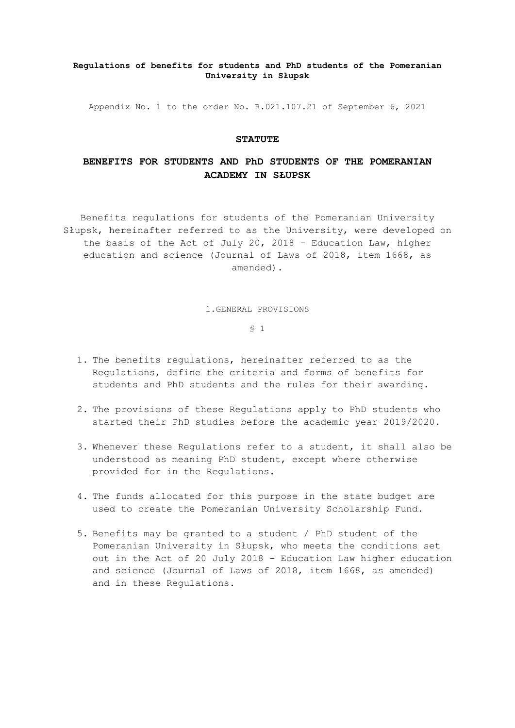### **Regulations of benefits for students and PhD students of the Pomeranian University in Słupsk**

Appendix No. 1 to the order No. R.021.107.21 of September 6, 2021

### **STATUTE**

# **BENEFITS FOR STUDENTS AND PhD STUDENTS OF THE POMERANIAN ACADEMY IN SŁUPSK**

Benefits regulations for students of the Pomeranian University Słupsk, hereinafter referred to as the University, were developed on the basis of the Act of July 20, 2018 - Education Law, higher education and science (Journal of Laws of 2018, item 1668, as amended).

#### 1.GENERAL PROVISIONS

- 1. The benefits regulations, hereinafter referred to as the Regulations, define the criteria and forms of benefits for students and PhD students and the rules for their awarding.
- 2. The provisions of these Regulations apply to PhD students who started their PhD studies before the academic year 2019/2020.
- 3. Whenever these Regulations refer to a student, it shall also be understood as meaning PhD student, except where otherwise provided for in the Regulations.
- 4. The funds allocated for this purpose in the state budget are used to create the Pomeranian University Scholarship Fund.
- 5. Benefits may be granted to a student / PhD student of the Pomeranian University in Słupsk, who meets the conditions set out in the Act of 20 July 2018 - Education Law higher education and science (Journal of Laws of 2018, item 1668, as amended) and in these Regulations.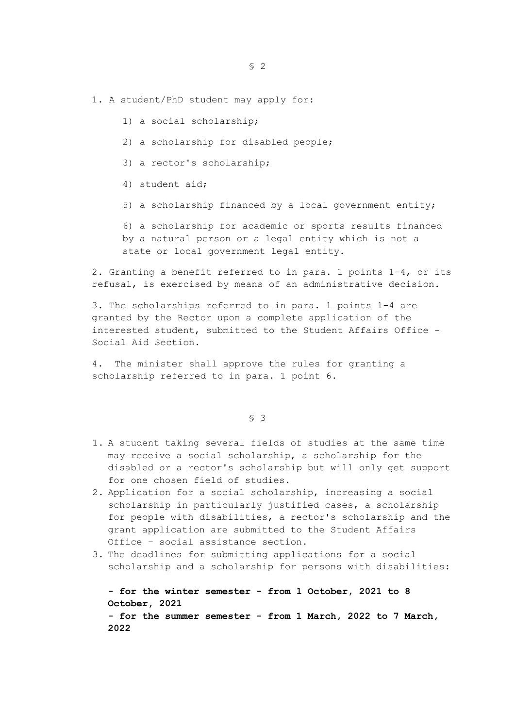### 1. A student/PhD student may apply for:

- 1) a social scholarship;
- 2) a scholarship for disabled people;
- 3) a rector's scholarship;
- 4) student aid;
- 5) a scholarship financed by a local government entity;

6) a scholarship for academic or sports results financed by a natural person or a legal entity which is not a state or local government legal entity.

2. Granting a benefit referred to in para. 1 points 1-4, or its refusal, is exercised by means of an administrative decision.

3. The scholarships referred to in para. 1 points 1-4 are granted by the Rector upon a complete application of the interested student, submitted to the Student Affairs Office - Social Aid Section.

4. The minister shall approve the rules for granting a scholarship referred to in para. 1 point 6.

§ 3

- 1. A student taking several fields of studies at the same time may receive a social scholarship, a scholarship for the disabled or a rector's scholarship but will only get support for one chosen field of studies.
- 2. Application for a social scholarship, increasing a social scholarship in particularly justified cases, a scholarship for people with disabilities, a rector's scholarship and the grant application are submitted to the Student Affairs Office - social assistance section.
- 3. The deadlines for submitting applications for a social scholarship and a scholarship for persons with disabilities:

**- for the winter semester - from 1 October, 2021 to 8 October, 2021 - for the summer semester - from 1 March, 2022 to 7 March,** 

**2022**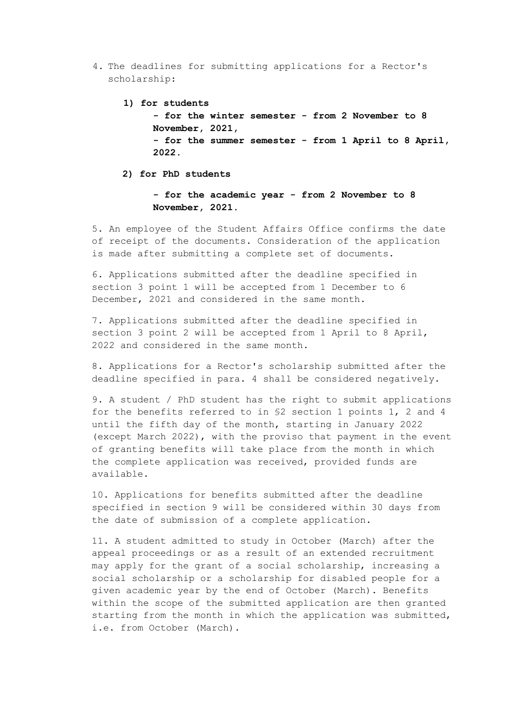4. The deadlines for submitting applications for a Rector's scholarship:

**1) for students**

**- for the winter semester - from 2 November to 8 November, 2021, - for the summer semester - from 1 April to 8 April, 2022.**

**2) for PhD students**

**- for the academic year - from 2 November to 8 November, 2021.**

5. An employee of the Student Affairs Office confirms the date of receipt of the documents. Consideration of the application is made after submitting a complete set of documents.

6. Applications submitted after the deadline specified in section 3 point 1 will be accepted from 1 December to 6 December, 2021 and considered in the same month.

7. Applications submitted after the deadline specified in section 3 point 2 will be accepted from 1 April to 8 April, 2022 and considered in the same month.

8. Applications for a Rector's scholarship submitted after the deadline specified in para. 4 shall be considered negatively.

9. A student / PhD student has the right to submit applications for the benefits referred to in §2 section 1 points 1, 2 and 4 until the fifth day of the month, starting in January 2022 (except March 2022), with the proviso that payment in the event of granting benefits will take place from the month in which the complete application was received, provided funds are available.

10. Applications for benefits submitted after the deadline specified in section 9 will be considered within 30 days from the date of submission of a complete application.

11. A student admitted to study in October (March) after the appeal proceedings or as a result of an extended recruitment may apply for the grant of a social scholarship, increasing a social scholarship or a scholarship for disabled people for a given academic year by the end of October (March). Benefits within the scope of the submitted application are then granted starting from the month in which the application was submitted, i.e. from October (March).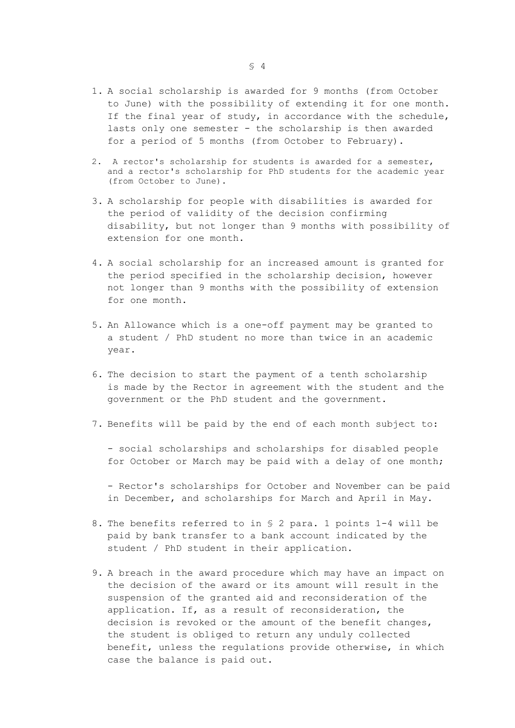- 1. A social scholarship is awarded for 9 months (from October to June) with the possibility of extending it for one month. If the final year of study, in accordance with the schedule, lasts only one semester - the scholarship is then awarded for a period of 5 months (from October to February).
- 2. A rector's scholarship for students is awarded for a semester, and a rector's scholarship for PhD students for the academic year (from October to June).
- 3. A scholarship for people with disabilities is awarded for the period of validity of the decision confirming disability, but not longer than 9 months with possibility of extension for one month.
- 4. A social scholarship for an increased amount is granted for the period specified in the scholarship decision, however not longer than 9 months with the possibility of extension for one month.
- 5. An Allowance which is a one-off payment may be granted to a student / PhD student no more than twice in an academic year.
- 6. The decision to start the payment of a tenth scholarship is made by the Rector in agreement with the student and the government or the PhD student and the government.
- 7. Benefits will be paid by the end of each month subject to:

- social scholarships and scholarships for disabled people for October or March may be paid with a delay of one month;

- Rector's scholarships for October and November can be paid in December, and scholarships for March and April in May.

- 8. The benefits referred to in § 2 para. 1 points 1-4 will be paid by bank transfer to a bank account indicated by the student / PhD student in their application.
- 9. A breach in the award procedure which may have an impact on the decision of the award or its amount will result in the suspension of the granted aid and reconsideration of the application. If, as a result of reconsideration, the decision is revoked or the amount of the benefit changes, the student is obliged to return any unduly collected benefit, unless the regulations provide otherwise, in which case the balance is paid out.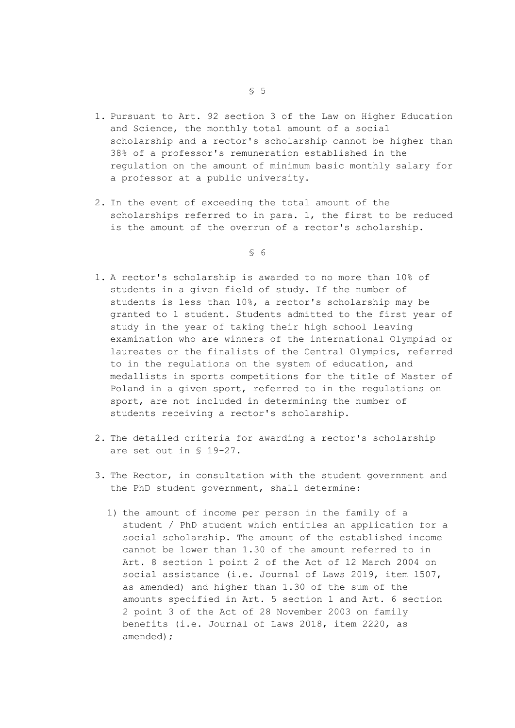- 1. Pursuant to Art. 92 section 3 of the Law on Higher Education and Science, the monthly total amount of a social scholarship and a rector's scholarship cannot be higher than 38% of a professor's remuneration established in the regulation on the amount of minimum basic monthly salary for a professor at a public university.
- 2. In the event of exceeding the total amount of the scholarships referred to in para. 1, the first to be reduced is the amount of the overrun of a rector's scholarship.

- 1. A rector's scholarship is awarded to no more than 10% of students in a given field of study. If the number of students is less than 10%, a rector's scholarship may be granted to 1 student. Students admitted to the first year of study in the year of taking their high school leaving examination who are winners of the international Olympiad or laureates or the finalists of the Central Olympics, referred to in the regulations on the system of education, and medallists in sports competitions for the title of Master of Poland in a given sport, referred to in the regulations on sport, are not included in determining the number of students receiving a rector's scholarship.
- 2. The detailed criteria for awarding a rector's scholarship are set out in § 19-27.
- 3. The Rector, in consultation with the student government and the PhD student government, shall determine:
	- 1) the amount of income per person in the family of a student / PhD student which entitles an application for a social scholarship. The amount of the established income cannot be lower than 1.30 of the amount referred to in Art. 8 section 1 point 2 of the Act of 12 March 2004 on social assistance (i.e. Journal of Laws 2019, item 1507, as amended) and higher than 1.30 of the sum of the amounts specified in Art. 5 section 1 and Art. 6 section 2 point 3 of the Act of 28 November 2003 on family benefits (i.e. Journal of Laws 2018, item 2220, as amended);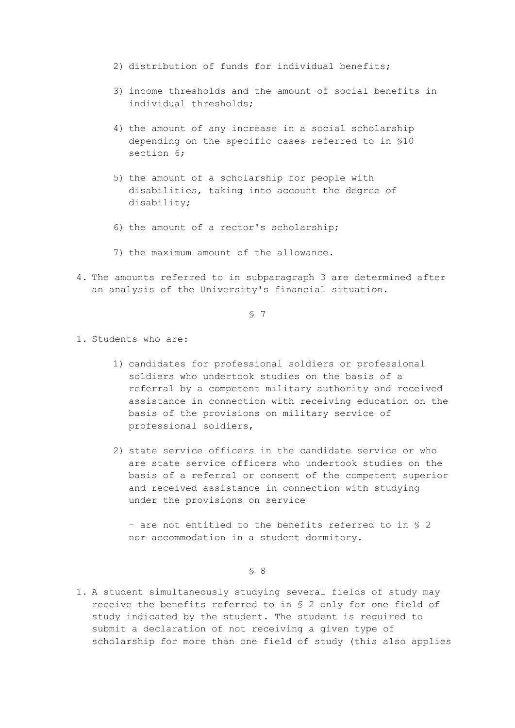- 2) distribution of funds for individual benefits;
- 3) income thresholds and the amount of social benefits in individual thresholds;
- 4) the amount of any increase in a social scholarship depending on the specific cases referred to in §10 section 6;
- 5) the amount of a scholarship for people with disabilities, taking into account the degree of disability;
- 6) the amount of a rector's scholarship;
- 7) the maximum amount of the allowance.
- 4. The amounts referred to in subparagraph 3 are determined after an analysis of the University's financial situation.

§ 7

- 1. Students who are:
	- 1) candidates for professional soldiers or professional soldiers who undertook studies on the basis of a referral by a competent military authority and received assistance in connection with receiving education on the basis of the provisions on military service of professional soldiers,
	- 2) state service officers in the candidate service or who are state service officers who undertook studies on the basis of a referral or consent of the competent superior and received assistance in connection with studying under the provisions on service

- are not entitled to the benefits referred to in § 2 nor accommodation in a student dormitory.

§ 8

1. A student simultaneously studying several fields of study may receive the benefits referred to in § 2 only for one field of study indicated by the student. The student is required to submit a declaration of not receiving a given type of scholarship for more than one field of study (this also applies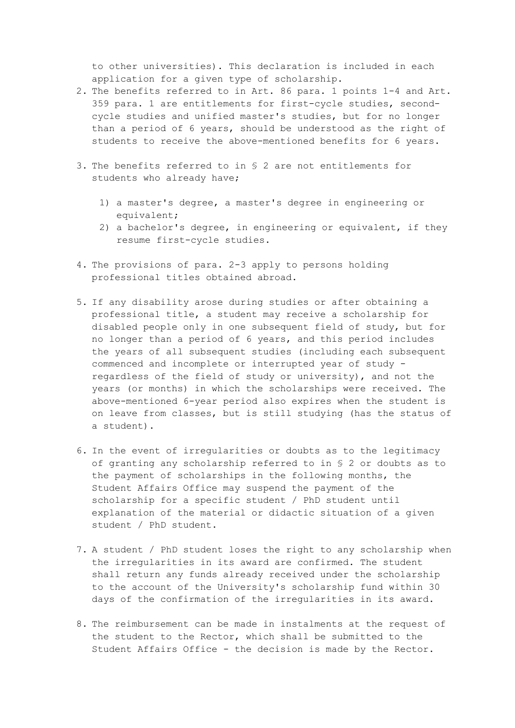to other universities). This declaration is included in each application for a given type of scholarship.

- 2. The benefits referred to in Art. 86 para. 1 points 1-4 and Art. 359 para. 1 are entitlements for first-cycle studies, secondcycle studies and unified master's studies, but for no longer than a period of 6 years, should be understood as the right of students to receive the above-mentioned benefits for 6 years.
- 3. The benefits referred to in § 2 are not entitlements for students who already have;
	- 1) a master's degree, a master's degree in engineering or equivalent;
	- 2) a bachelor's degree, in engineering or equivalent, if they resume first-cycle studies.
- 4. The provisions of para. 2-3 apply to persons holding professional titles obtained abroad.
- 5. If any disability arose during studies or after obtaining a professional title, a student may receive a scholarship for disabled people only in one subsequent field of study, but for no longer than a period of 6 years, and this period includes the years of all subsequent studies (including each subsequent commenced and incomplete or interrupted year of study regardless of the field of study or university), and not the years (or months) in which the scholarships were received. The above-mentioned 6-year period also expires when the student is on leave from classes, but is still studying (has the status of a student).
- 6. In the event of irregularities or doubts as to the legitimacy of granting any scholarship referred to in § 2 or doubts as to the payment of scholarships in the following months, the Student Affairs Office may suspend the payment of the scholarship for a specific student / PhD student until explanation of the material or didactic situation of a given student / PhD student.
- 7. A student / PhD student loses the right to any scholarship when the irregularities in its award are confirmed. The student shall return any funds already received under the scholarship to the account of the University's scholarship fund within 30 days of the confirmation of the irregularities in its award.
- 8. The reimbursement can be made in instalments at the request of the student to the Rector, which shall be submitted to the Student Affairs Office - the decision is made by the Rector.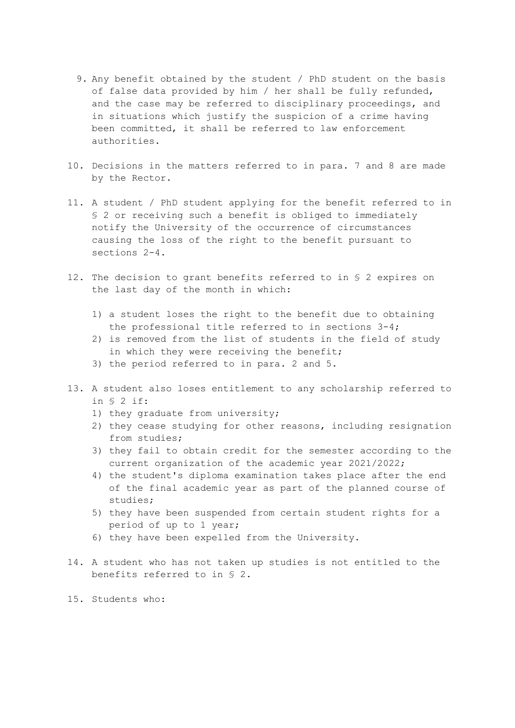- 9. Any benefit obtained by the student / PhD student on the basis of false data provided by him / her shall be fully refunded, and the case may be referred to disciplinary proceedings, and in situations which justify the suspicion of a crime having been committed, it shall be referred to law enforcement authorities.
- 10. Decisions in the matters referred to in para. 7 and 8 are made by the Rector.
- 11. A student / PhD student applying for the benefit referred to in § 2 or receiving such a benefit is obliged to immediately notify the University of the occurrence of circumstances causing the loss of the right to the benefit pursuant to sections 2-4.
- 12. The decision to grant benefits referred to in § 2 expires on the last day of the month in which:
	- 1) a student loses the right to the benefit due to obtaining the professional title referred to in sections 3-4;
	- 2) is removed from the list of students in the field of study in which they were receiving the benefit;
	- 3) the period referred to in para. 2 and 5.
- 13. A student also loses entitlement to any scholarship referred to in § 2 if:
	- 1) they graduate from university;
	- 2) they cease studying for other reasons, including resignation from studies;
	- 3) they fail to obtain credit for the semester according to the current organization of the academic year 2021/2022;
	- 4) the student's diploma examination takes place after the end of the final academic year as part of the planned course of studies;
	- 5) they have been suspended from certain student rights for a period of up to 1 year;
	- 6) they have been expelled from the University.
- 14. A student who has not taken up studies is not entitled to the benefits referred to in § 2.
- 15. Students who: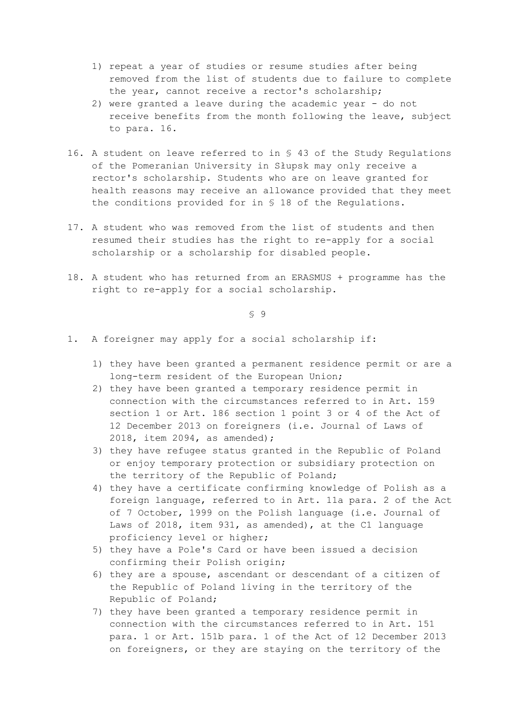- 1) repeat a year of studies or resume studies after being removed from the list of students due to failure to complete the year, cannot receive a rector's scholarship;
- 2) were granted a leave during the academic year do not receive benefits from the month following the leave, subject to para. 16.
- 16. A student on leave referred to in § 43 of the Study Regulations of the Pomeranian University in Słupsk may only receive a rector's scholarship. Students who are on leave granted for health reasons may receive an allowance provided that they meet the conditions provided for in § 18 of the Regulations.
- 17. A student who was removed from the list of students and then resumed their studies has the right to re-apply for a social scholarship or a scholarship for disabled people.
- 18. A student who has returned from an ERASMUS + programme has the right to re-apply for a social scholarship.

- 1. A foreigner may apply for a social scholarship if:
	- 1) they have been granted a permanent residence permit or are a long-term resident of the European Union;
	- 2) they have been granted a temporary residence permit in connection with the circumstances referred to in Art. 159 section 1 or Art. 186 section 1 point 3 or 4 of the Act of 12 December 2013 on foreigners (i.e. Journal of Laws of 2018, item 2094, as amended);
	- 3) they have refugee status granted in the Republic of Poland or enjoy temporary protection or subsidiary protection on the territory of the Republic of Poland;
	- 4) they have a certificate confirming knowledge of Polish as a foreign language, referred to in Art. 11a para. 2 of the Act of 7 October, 1999 on the Polish language (i.e. Journal of Laws of 2018, item 931, as amended), at the C1 language proficiency level or higher;
	- 5) they have a Pole's Card or have been issued a decision confirming their Polish origin;
	- 6) they are a spouse, ascendant or descendant of a citizen of the Republic of Poland living in the territory of the Republic of Poland;
	- 7) they have been granted a temporary residence permit in connection with the circumstances referred to in Art. 151 para. 1 or Art. 151b para. 1 of the Act of 12 December 2013 on foreigners, or they are staying on the territory of the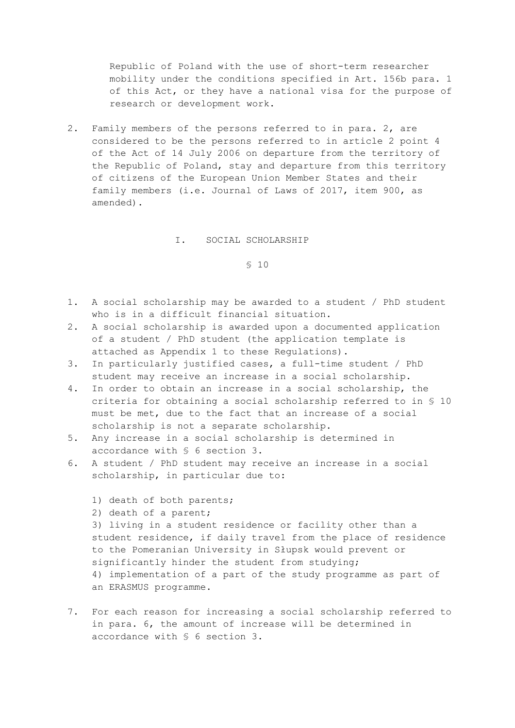Republic of Poland with the use of short-term researcher mobility under the conditions specified in Art. 156b para. 1 of this Act, or they have a national visa for the purpose of research or development work.

2. Family members of the persons referred to in para. 2, are considered to be the persons referred to in article 2 point 4 of the Act of 14 July 2006 on departure from the territory of the Republic of Poland, stay and departure from this territory of citizens of the European Union Member States and their family members (i.e. Journal of Laws of 2017, item 900, as amended).

#### I. SOCIAL SCHOLARSHIP

§ 10

- 1. A social scholarship may be awarded to a student / PhD student who is in a difficult financial situation.
- 2. A social scholarship is awarded upon a documented application of a student / PhD student (the application template is attached as Appendix 1 to these Regulations).
- 3. In particularly justified cases, a full-time student / PhD student may receive an increase in a social scholarship.
- 4. In order to obtain an increase in a social scholarship, the criteria for obtaining a social scholarship referred to in § 10 must be met, due to the fact that an increase of a social scholarship is not a separate scholarship.
- 5. Any increase in a social scholarship is determined in accordance with § 6 section 3.
- 6. A student / PhD student may receive an increase in a social scholarship, in particular due to:
	- 1) death of both parents;
	- 2) death of a parent;

3) living in a student residence or facility other than a student residence, if daily travel from the place of residence to the Pomeranian University in Słupsk would prevent or significantly hinder the student from studying; 4) implementation of a part of the study programme as part of an ERASMUS programme.

7. For each reason for increasing a social scholarship referred to in para. 6, the amount of increase will be determined in accordance with § 6 section 3.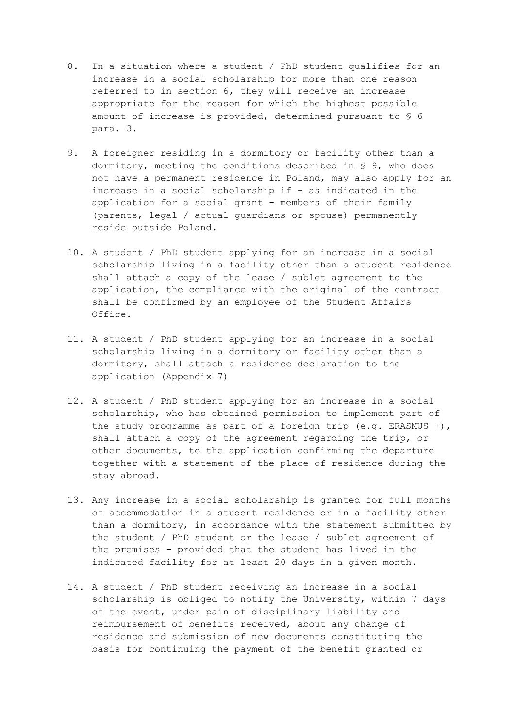- 8. In a situation where a student / PhD student qualifies for an increase in a social scholarship for more than one reason referred to in section 6, they will receive an increase appropriate for the reason for which the highest possible amount of increase is provided, determined pursuant to § 6 para. 3.
- 9. A foreigner residing in a dormitory or facility other than a dormitory, meeting the conditions described in § 9, who does not have a permanent residence in Poland, may also apply for an increase in a social scholarship if – as indicated in the application for a social grant - members of their family (parents, legal / actual guardians or spouse) permanently reside outside Poland.
- 10. A student / PhD student applying for an increase in a social scholarship living in a facility other than a student residence shall attach a copy of the lease / sublet agreement to the application, the compliance with the original of the contract shall be confirmed by an employee of the Student Affairs Office.
- 11. A student / PhD student applying for an increase in a social scholarship living in a dormitory or facility other than a dormitory, shall attach a residence declaration to the application (Appendix 7)
- 12. A student / PhD student applying for an increase in a social scholarship, who has obtained permission to implement part of the study programme as part of a foreign trip (e.g. ERASMUS +), shall attach a copy of the agreement regarding the trip, or other documents, to the application confirming the departure together with a statement of the place of residence during the stay abroad.
- 13. Any increase in a social scholarship is granted for full months of accommodation in a student residence or in a facility other than a dormitory, in accordance with the statement submitted by the student / PhD student or the lease / sublet agreement of the premises - provided that the student has lived in the indicated facility for at least 20 days in a given month.
- 14. A student / PhD student receiving an increase in a social scholarship is obliged to notify the University, within 7 days of the event, under pain of disciplinary liability and reimbursement of benefits received, about any change of residence and submission of new documents constituting the basis for continuing the payment of the benefit granted or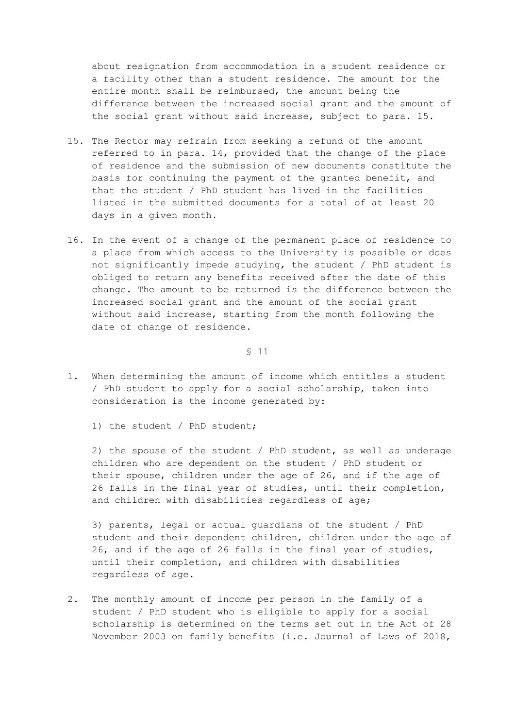about resignation from accommodation in a student residence or a facility other than a student residence. The amount for the entire month shall be reimbursed, the amount being the difference between the increased social grant and the amount of the social grant without said increase, subject to para. 15.

- 15. The Rector may refrain from seeking a refund of the amount referred to in para. 14, provided that the change of the place of residence and the submission of new documents constitute the basis for continuing the payment of the granted benefit, and that the student / PhD student has lived in the facilities listed in the submitted documents for a total of at least 20 days in a given month.
- 16. In the event of a change of the permanent place of residence to a place from which access to the University is possible or does not significantly impede studying, the student / PhD student is obliged to return any benefits received after the date of this change. The amount to be returned is the difference between the increased social grant and the amount of the social grant without said increase, starting from the month following the date of change of residence.

§ 11

- 1. When determining the amount of income which entitles a student / PhD student to apply for a social scholarship, taken into consideration is the income generated by:
	- 1) the student / PhD student;

2) the spouse of the student / PhD student, as well as underage children who are dependent on the student / PhD student or their spouse, children under the age of 26, and if the age of 26 falls in the final year of studies, until their completion, and children with disabilities regardless of age;

3) parents, legal or actual guardians of the student / PhD student and their dependent children, children under the age of 26, and if the age of 26 falls in the final year of studies, until their completion, and children with disabilities regardless of age.

2. The monthly amount of income per person in the family of a student / PhD student who is eligible to apply for a social scholarship is determined on the terms set out in the Act of 28 November 2003 on family benefits (i.e. Journal of Laws of 2018,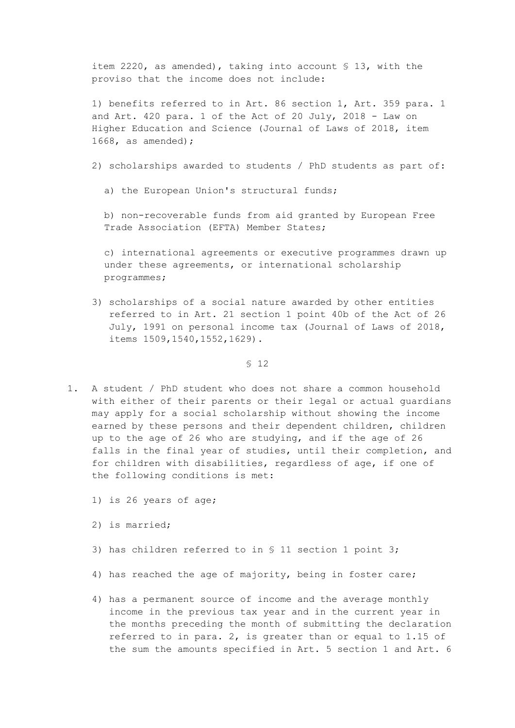item 2220, as amended), taking into account § 13, with the proviso that the income does not include:

1) benefits referred to in Art. 86 section 1, Art. 359 para. 1 and Art. 420 para. 1 of the Act of 20 July, 2018 - Law on Higher Education and Science (Journal of Laws of 2018, item 1668, as amended);

2) scholarships awarded to students / PhD students as part of:

a) the European Union's structural funds;

b) non-recoverable funds from aid granted by European Free Trade Association (EFTA) Member States;

c) international agreements or executive programmes drawn up under these agreements, or international scholarship programmes;

3) scholarships of a social nature awarded by other entities referred to in Art. 21 section 1 point 40b of the Act of 26 July, 1991 on personal income tax (Journal of Laws of 2018, items 1509,1540,1552,1629).

- 1. A student / PhD student who does not share a common household with either of their parents or their legal or actual guardians may apply for a social scholarship without showing the income earned by these persons and their dependent children, children up to the age of 26 who are studying, and if the age of 26 falls in the final year of studies, until their completion, and for children with disabilities, regardless of age, if one of the following conditions is met:
	- 1) is 26 years of age;
	- 2) is married;
	- 3) has children referred to in § 11 section 1 point 3;
	- 4) has reached the age of majority, being in foster care;
	- 4) has a permanent source of income and the average monthly income in the previous tax year and in the current year in the months preceding the month of submitting the declaration referred to in para. 2, is greater than or equal to 1.15 of the sum the amounts specified in Art. 5 section 1 and Art. 6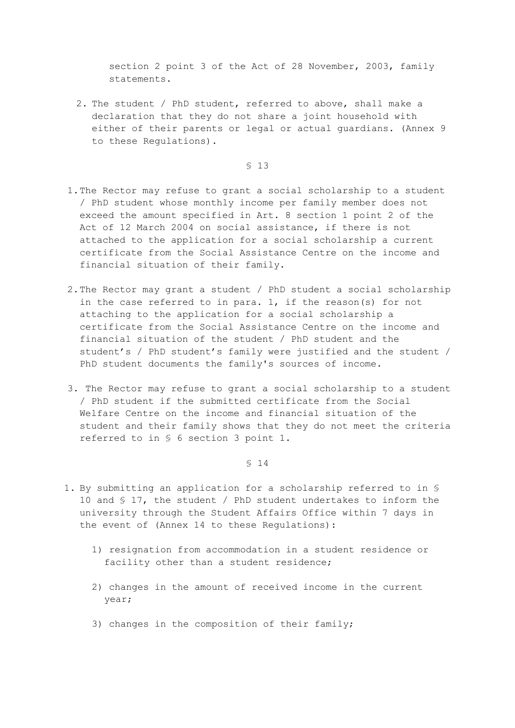section 2 point 3 of the Act of 28 November, 2003, family statements.

2. The student / PhD student, referred to above, shall make a declaration that they do not share a joint household with either of their parents or legal or actual guardians. (Annex 9 to these Regulations).

§ 13

- 1.The Rector may refuse to grant a social scholarship to a student / PhD student whose monthly income per family member does not exceed the amount specified in Art. 8 section 1 point 2 of the Act of 12 March 2004 on social assistance, if there is not attached to the application for a social scholarship a current certificate from the Social Assistance Centre on the income and financial situation of their family.
- 2.The Rector may grant a student / PhD student a social scholarship in the case referred to in para. 1, if the reason(s) for not attaching to the application for a social scholarship a certificate from the Social Assistance Centre on the income and financial situation of the student / PhD student and the student's / PhD student's family were justified and the student / PhD student documents the family's sources of income.
- 3. The Rector may refuse to grant a social scholarship to a student / PhD student if the submitted certificate from the Social Welfare Centre on the income and financial situation of the student and their family shows that they do not meet the criteria referred to in § 6 section 3 point 1.

- 1. By submitting an application for a scholarship referred to in § 10 and § 17, the student / PhD student undertakes to inform the university through the Student Affairs Office within 7 days in the event of (Annex 14 to these Regulations):
	- 1) resignation from accommodation in a student residence or facility other than a student residence;
	- 2) changes in the amount of received income in the current year;
	- 3) changes in the composition of their family;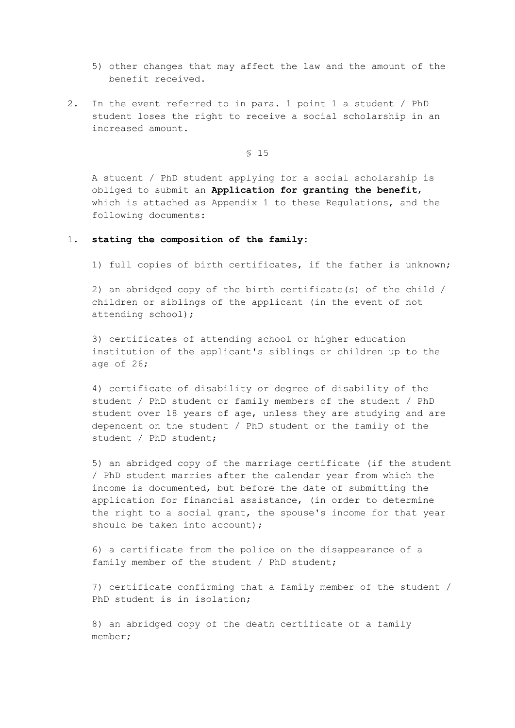- 5) other changes that may affect the law and the amount of the benefit received.
- 2. In the event referred to in para. 1 point 1 a student / PhD student loses the right to receive a social scholarship in an increased amount.

§ 15

A student / PhD student applying for a social scholarship is obliged to submit an **Application for granting the benefit**, which is attached as Appendix 1 to these Regulations, and the following documents:

#### 1. **stating the composition of the family:**

1) full copies of birth certificates, if the father is unknown;

2) an abridged copy of the birth certificate(s) of the child / children or siblings of the applicant (in the event of not attending school);

3) certificates of attending school or higher education institution of the applicant's siblings or children up to the age of 26;

4) certificate of disability or degree of disability of the student / PhD student or family members of the student / PhD student over 18 years of age, unless they are studying and are dependent on the student / PhD student or the family of the student / PhD student;

5) an abridged copy of the marriage certificate (if the student / PhD student marries after the calendar year from which the income is documented, but before the date of submitting the application for financial assistance, (in order to determine the right to a social grant, the spouse's income for that year should be taken into account);

6) a certificate from the police on the disappearance of a family member of the student / PhD student;

7) certificate confirming that a family member of the student / PhD student is in isolation;

8) an abridged copy of the death certificate of a family member;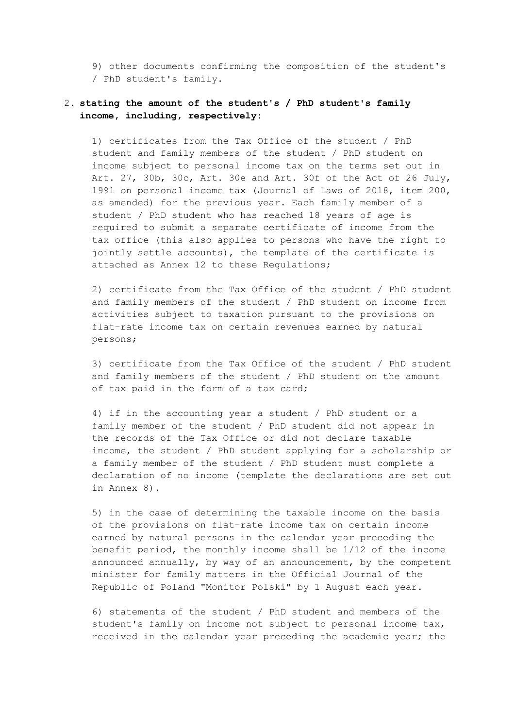9) other documents confirming the composition of the student's / PhD student's family.

# 2. **stating the amount of the student's / PhD student's family income, including, respectively:**

1) certificates from the Tax Office of the student / PhD student and family members of the student / PhD student on income subject to personal income tax on the terms set out in Art. 27, 30b, 30c, Art. 30e and Art. 30f of the Act of 26 July, 1991 on personal income tax (Journal of Laws of 2018, item 200, as amended) for the previous year. Each family member of a student / PhD student who has reached 18 years of age is required to submit a separate certificate of income from the tax office (this also applies to persons who have the right to jointly settle accounts), the template of the certificate is attached as Annex 12 to these Regulations;

2) certificate from the Tax Office of the student / PhD student and family members of the student / PhD student on income from activities subject to taxation pursuant to the provisions on flat-rate income tax on certain revenues earned by natural persons;

3) certificate from the Tax Office of the student / PhD student and family members of the student / PhD student on the amount of tax paid in the form of a tax card;

4) if in the accounting year a student / PhD student or a family member of the student / PhD student did not appear in the records of the Tax Office or did not declare taxable income, the student / PhD student applying for a scholarship or a family member of the student / PhD student must complete a declaration of no income (template the declarations are set out in Annex 8).

5) in the case of determining the taxable income on the basis of the provisions on flat-rate income tax on certain income earned by natural persons in the calendar year preceding the benefit period, the monthly income shall be 1/12 of the income announced annually, by way of an announcement, by the competent minister for family matters in the Official Journal of the Republic of Poland "Monitor Polski" by 1 August each year.

6) statements of the student / PhD student and members of the student's family on income not subject to personal income tax, received in the calendar year preceding the academic year; the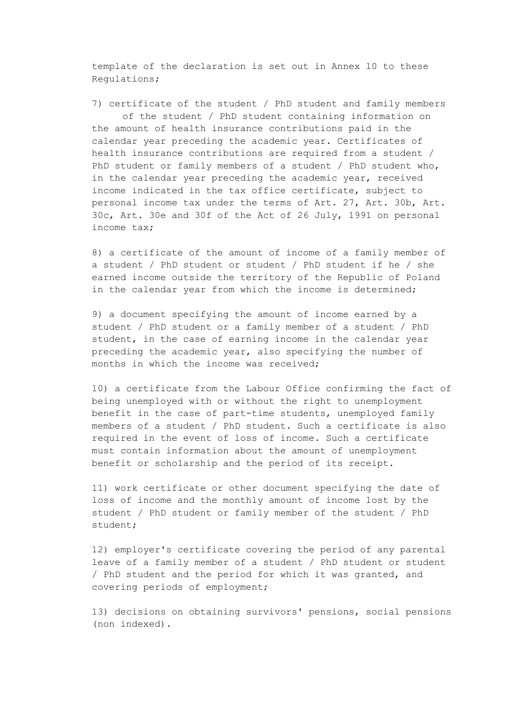template of the declaration is set out in Annex 10 to these Regulations;

7) certificate of the student / PhD student and family members of the student / PhD student containing information on the amount of health insurance contributions paid in the calendar year preceding the academic year. Certificates of health insurance contributions are required from a student / PhD student or family members of a student / PhD student who, in the calendar year preceding the academic year, received income indicated in the tax office certificate, subject to personal income tax under the terms of Art. 27, Art. 30b, Art. 30c, Art. 30e and 30f of the Act of 26 July, 1991 on personal income tax;

8) a certificate of the amount of income of a family member of a student / PhD student or student / PhD student if he / she earned income outside the territory of the Republic of Poland in the calendar year from which the income is determined;

9) a document specifying the amount of income earned by a student / PhD student or a family member of a student / PhD student, in the case of earning income in the calendar year preceding the academic year, also specifying the number of months in which the income was received;

10) a certificate from the Labour Office confirming the fact of being unemployed with or without the right to unemployment benefit in the case of part-time students, unemployed family members of a student / PhD student. Such a certificate is also required in the event of loss of income. Such a certificate must contain information about the amount of unemployment benefit or scholarship and the period of its receipt.

11) work certificate or other document specifying the date of loss of income and the monthly amount of income lost by the student / PhD student or family member of the student / PhD student;

12) employer's certificate covering the period of any parental leave of a family member of a student / PhD student or student / PhD student and the period for which it was granted, and covering periods of employment;

13) decisions on obtaining survivors' pensions, social pensions (non indexed).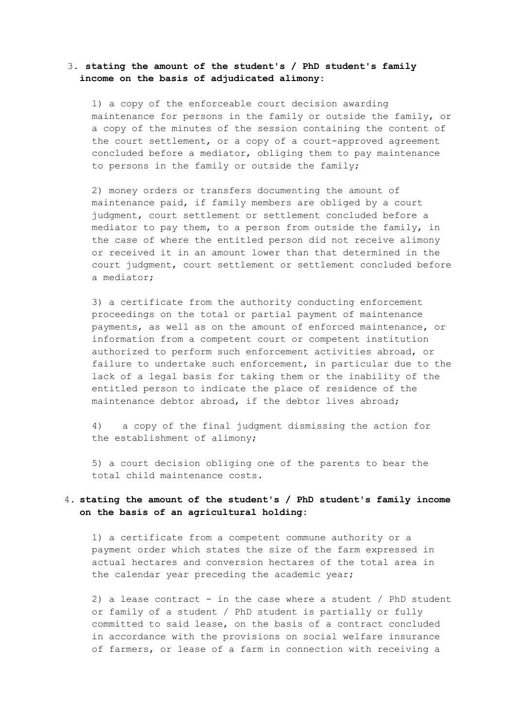# 3. **stating the amount of the student's / PhD student's family income on the basis of adjudicated alimony:**

1) a copy of the enforceable court decision awarding maintenance for persons in the family or outside the family, or a copy of the minutes of the session containing the content of the court settlement, or a copy of a court-approved agreement concluded before a mediator, obliging them to pay maintenance to persons in the family or outside the family;

2) money orders or transfers documenting the amount of maintenance paid, if family members are obliged by a court judgment, court settlement or settlement concluded before a mediator to pay them, to a person from outside the family, in the case of where the entitled person did not receive alimony or received it in an amount lower than that determined in the court judgment, court settlement or settlement concluded before a mediator;

3) a certificate from the authority conducting enforcement proceedings on the total or partial payment of maintenance payments, as well as on the amount of enforced maintenance, or information from a competent court or competent institution authorized to perform such enforcement activities abroad, or failure to undertake such enforcement, in particular due to the lack of a legal basis for taking them or the inability of the entitled person to indicate the place of residence of the maintenance debtor abroad, if the debtor lives abroad;

4) a copy of the final judgment dismissing the action for the establishment of alimony;

5) a court decision obliging one of the parents to bear the total child maintenance costs.

# 4. **stating the amount of the student's / PhD student's family income on the basis of an agricultural holding:**

1) a certificate from a competent commune authority or a payment order which states the size of the farm expressed in actual hectares and conversion hectares of the total area in the calendar year preceding the academic year;

2) a lease contract - in the case where a student  $/$  PhD student or family of a student / PhD student is partially or fully committed to said lease, on the basis of a contract concluded in accordance with the provisions on social welfare insurance of farmers, or lease of a farm in connection with receiving a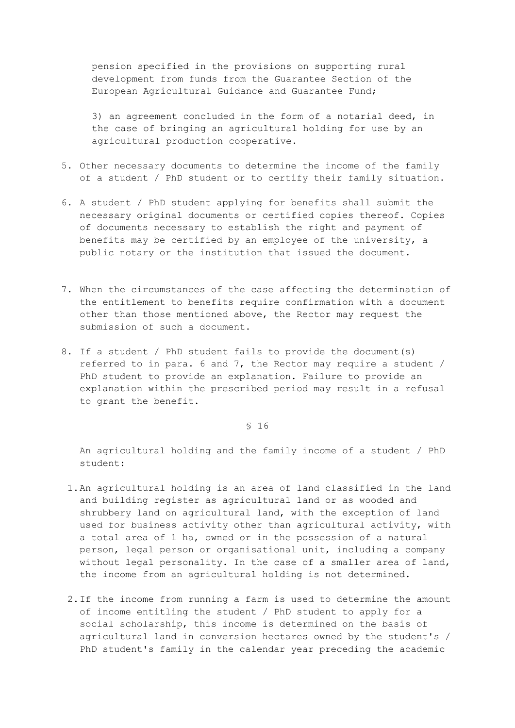pension specified in the provisions on supporting rural development from funds from the Guarantee Section of the European Agricultural Guidance and Guarantee Fund;

3) an agreement concluded in the form of a notarial deed, in the case of bringing an agricultural holding for use by an agricultural production cooperative.

- 5. Other necessary documents to determine the income of the family of a student / PhD student or to certify their family situation.
- 6. A student / PhD student applying for benefits shall submit the necessary original documents or certified copies thereof. Copies of documents necessary to establish the right and payment of benefits may be certified by an employee of the university, a public notary or the institution that issued the document.
- 7. When the circumstances of the case affecting the determination of the entitlement to benefits require confirmation with a document other than those mentioned above, the Rector may request the submission of such a document.
- 8. If a student / PhD student fails to provide the document(s) referred to in para. 6 and 7, the Rector may require a student / PhD student to provide an explanation. Failure to provide an explanation within the prescribed period may result in a refusal to grant the benefit.

§ 16

An agricultural holding and the family income of a student / PhD student:

- 1.An agricultural holding is an area of land classified in the land and building register as agricultural land or as wooded and shrubbery land on agricultural land, with the exception of land used for business activity other than agricultural activity, with a total area of 1 ha, owned or in the possession of a natural person, legal person or organisational unit, including a company without legal personality. In the case of a smaller area of land, the income from an agricultural holding is not determined.
- 2.If the income from running a farm is used to determine the amount of income entitling the student / PhD student to apply for a social scholarship, this income is determined on the basis of agricultural land in conversion hectares owned by the student's / PhD student's family in the calendar year preceding the academic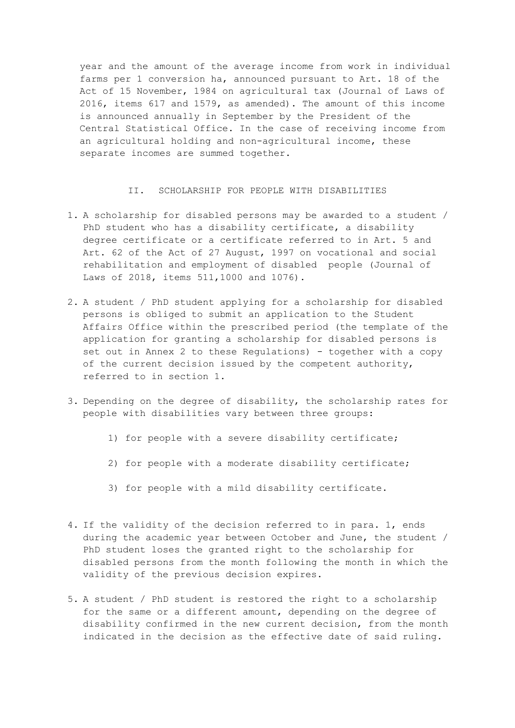year and the amount of the average income from work in individual farms per 1 conversion ha, announced pursuant to Art. 18 of the Act of 15 November, 1984 on agricultural tax (Journal of Laws of 2016, items 617 and 1579, as amended). The amount of this income is announced annually in September by the President of the Central Statistical Office. In the case of receiving income from an agricultural holding and non-agricultural income, these separate incomes are summed together.

### II. SCHOLARSHIP FOR PEOPLE WITH DISABILITIES

- 1. A scholarship for disabled persons may be awarded to a student / PhD student who has a disability certificate, a disability degree certificate or a certificate referred to in Art. 5 and Art. 62 of the Act of 27 August, 1997 on vocational and social rehabilitation and employment of disabled people (Journal of Laws of 2018, items 511,1000 and 1076).
- 2. A student / PhD student applying for a scholarship for disabled persons is obliged to submit an application to the Student Affairs Office within the prescribed period (the template of the application for granting a scholarship for disabled persons is set out in Annex 2 to these Regulations) - together with a copy of the current decision issued by the competent authority, referred to in section 1.
- 3. Depending on the degree of disability, the scholarship rates for people with disabilities vary between three groups:
	- 1) for people with a severe disability certificate;
	- 2) for people with a moderate disability certificate;
	- 3) for people with a mild disability certificate.
- 4. If the validity of the decision referred to in para. 1, ends during the academic year between October and June, the student / PhD student loses the granted right to the scholarship for disabled persons from the month following the month in which the validity of the previous decision expires.
- 5. A student / PhD student is restored the right to a scholarship for the same or a different amount, depending on the degree of disability confirmed in the new current decision, from the month indicated in the decision as the effective date of said ruling.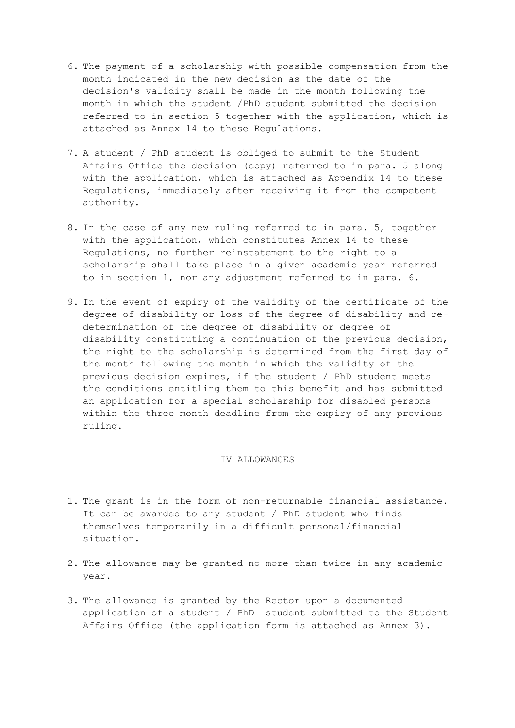- 6. The payment of a scholarship with possible compensation from the month indicated in the new decision as the date of the decision's validity shall be made in the month following the month in which the student /PhD student submitted the decision referred to in section 5 together with the application, which is attached as Annex 14 to these Regulations.
- 7. A student / PhD student is obliged to submit to the Student Affairs Office the decision (copy) referred to in para. 5 along with the application, which is attached as Appendix 14 to these Regulations, immediately after receiving it from the competent authority.
- 8. In the case of any new ruling referred to in para. 5, together with the application, which constitutes Annex 14 to these Regulations, no further reinstatement to the right to a scholarship shall take place in a given academic year referred to in section 1, nor any adjustment referred to in para. 6.
- 9. In the event of expiry of the validity of the certificate of the degree of disability or loss of the degree of disability and redetermination of the degree of disability or degree of disability constituting a continuation of the previous decision, the right to the scholarship is determined from the first day of the month following the month in which the validity of the previous decision expires, if the student / PhD student meets the conditions entitling them to this benefit and has submitted an application for a special scholarship for disabled persons within the three month deadline from the expiry of any previous ruling.

## IV ALLOWANCES

- 1. The grant is in the form of non-returnable financial assistance. It can be awarded to any student / PhD student who finds themselves temporarily in a difficult personal/financial situation.
- 2. The allowance may be granted no more than twice in any academic year.
- 3. The allowance is granted by the Rector upon a documented application of a student / PhD student submitted to the Student Affairs Office (the application form is attached as Annex 3).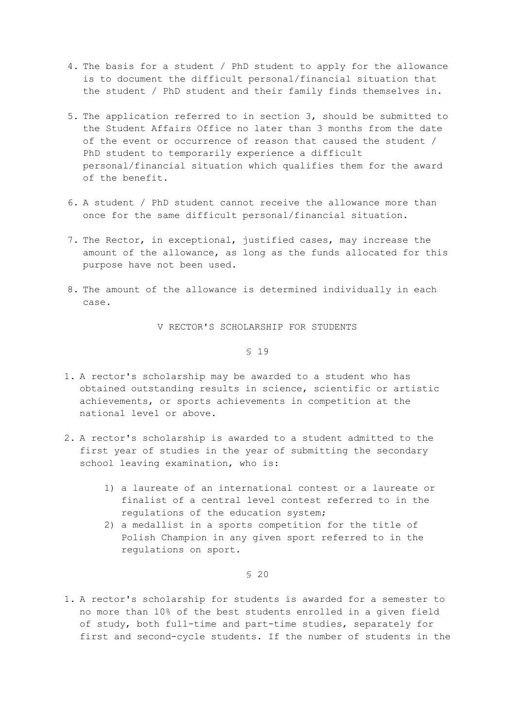- 4. The basis for a student / PhD student to apply for the allowance is to document the difficult personal/financial situation that the student / PhD student and their family finds themselves in.
- 5. The application referred to in section 3, should be submitted to the Student Affairs Office no later than 3 months from the date of the event or occurrence of reason that caused the student / PhD student to temporarily experience a difficult personal/financial situation which qualifies them for the award of the benefit.
- 6. A student / PhD student cannot receive the allowance more than once for the same difficult personal/financial situation.
- 7. The Rector, in exceptional, justified cases, may increase the amount of the allowance, as long as the funds allocated for this purpose have not been used.
- 8. The amount of the allowance is determined individually in each case.

V RECTOR'S SCHOLARSHIP FOR STUDENTS

§ 19

- 1. A rector's scholarship may be awarded to a student who has obtained outstanding results in science, scientific or artistic achievements, or sports achievements in competition at the national level or above.
- 2. A rector's scholarship is awarded to a student admitted to the first year of studies in the year of submitting the secondary school leaving examination, who is:
	- 1) a laureate of an international contest or a laureate or finalist of a central level contest referred to in the regulations of the education system;
	- 2) a medallist in a sports competition for the title of Polish Champion in any given sport referred to in the regulations on sport.

§ 20

1. A rector's scholarship for students is awarded for a semester to no more than 10% of the best students enrolled in a given field of study, both full-time and part-time studies, separately for first and second-cycle students. If the number of students in the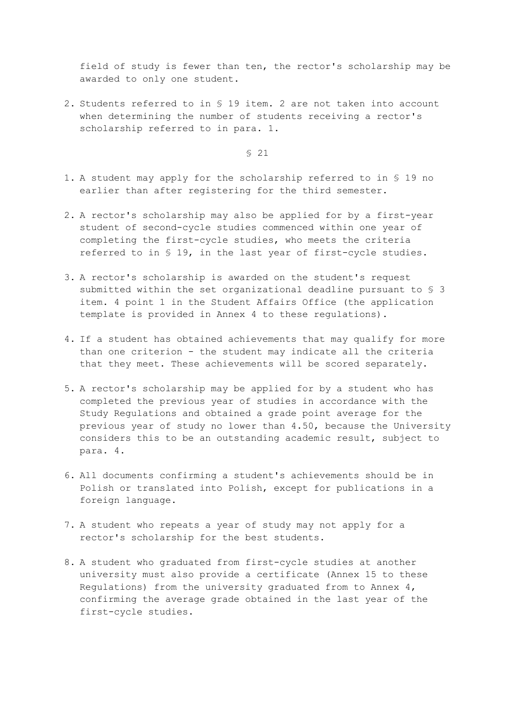field of study is fewer than ten, the rector's scholarship may be awarded to only one student.

2. Students referred to in § 19 item. 2 are not taken into account when determining the number of students receiving a rector's scholarship referred to in para. 1.

- 1. A student may apply for the scholarship referred to in § 19 no earlier than after registering for the third semester.
- 2. A rector's scholarship may also be applied for by a first-year student of second-cycle studies commenced within one year of completing the first-cycle studies, who meets the criteria referred to in § 19, in the last year of first-cycle studies.
- 3. A rector's scholarship is awarded on the student's request submitted within the set organizational deadline pursuant to § 3 item. 4 point 1 in the Student Affairs Office (the application template is provided in Annex 4 to these regulations).
- 4. If a student has obtained achievements that may qualify for more than one criterion - the student may indicate all the criteria that they meet. These achievements will be scored separately.
- 5. A rector's scholarship may be applied for by a student who has completed the previous year of studies in accordance with the Study Regulations and obtained a grade point average for the previous year of study no lower than 4.50, because the University considers this to be an outstanding academic result, subject to para. 4.
- 6. All documents confirming a student's achievements should be in Polish or translated into Polish, except for publications in a foreign language.
- 7. A student who repeats a year of study may not apply for a rector's scholarship for the best students.
- 8. A student who graduated from first-cycle studies at another university must also provide a certificate (Annex 15 to these Regulations) from the university graduated from to Annex  $4$ , confirming the average grade obtained in the last year of the first-cycle studies.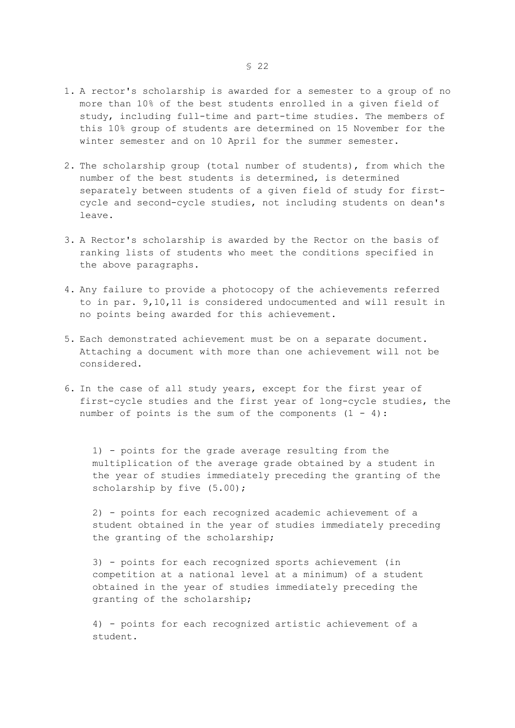- 1. A rector's scholarship is awarded for a semester to a group of no more than 10% of the best students enrolled in a given field of study, including full-time and part-time studies. The members of this 10% group of students are determined on 15 November for the winter semester and on 10 April for the summer semester.
- 2. The scholarship group (total number of students), from which the number of the best students is determined, is determined separately between students of a given field of study for firstcycle and second-cycle studies, not including students on dean's leave.
- 3. A Rector's scholarship is awarded by the Rector on the basis of ranking lists of students who meet the conditions specified in the above paragraphs.
- 4. Any failure to provide a photocopy of the achievements referred to in par. 9,10,11 is considered undocumented and will result in no points being awarded for this achievement.
- 5. Each demonstrated achievement must be on a separate document. Attaching a document with more than one achievement will not be considered.
- 6. In the case of all study years, except for the first year of first-cycle studies and the first year of long-cycle studies, the number of points is the sum of the components  $(1 - 4)$ :

1) - points for the grade average resulting from the multiplication of the average grade obtained by a student in the year of studies immediately preceding the granting of the scholarship by five  $(5.00)$ ;

2) - points for each recognized academic achievement of a student obtained in the year of studies immediately preceding the granting of the scholarship;

3) - points for each recognized sports achievement (in competition at a national level at a minimum) of a student obtained in the year of studies immediately preceding the granting of the scholarship;

4) - points for each recognized artistic achievement of a student.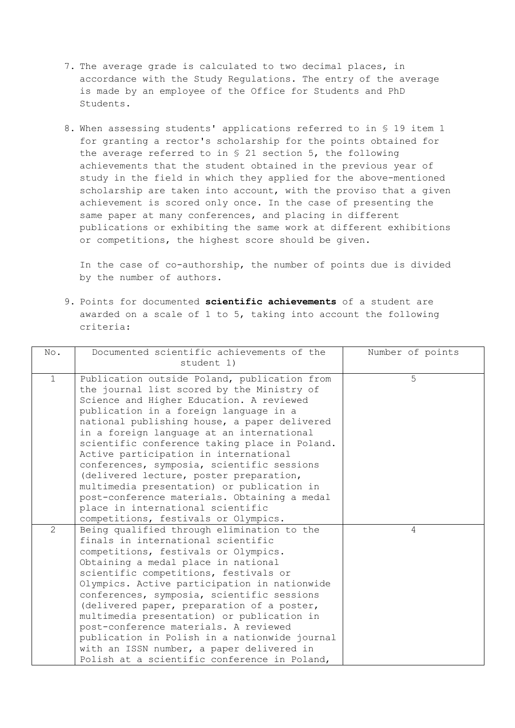- 7. The average grade is calculated to two decimal places, in accordance with the Study Regulations. The entry of the average is made by an employee of the Office for Students and PhD Students.
- 8. When assessing students' applications referred to in § 19 item 1 for granting a rector's scholarship for the points obtained for the average referred to in § 21 section 5, the following achievements that the student obtained in the previous year of study in the field in which they applied for the above-mentioned scholarship are taken into account, with the proviso that a given achievement is scored only once. In the case of presenting the same paper at many conferences, and placing in different publications or exhibiting the same work at different exhibitions or competitions, the highest score should be given.

In the case of co-authorship, the number of points due is divided by the number of authors.

9. Points for documented **scientific achievements** of a student are awarded on a scale of 1 to 5, taking into account the following criteria:

| No.            | Documented scientific achievements of the<br>student 1)                                                                                                                                                                                                                                                                                                                                                                                                                                                                                                                                                                                     | Number of points |
|----------------|---------------------------------------------------------------------------------------------------------------------------------------------------------------------------------------------------------------------------------------------------------------------------------------------------------------------------------------------------------------------------------------------------------------------------------------------------------------------------------------------------------------------------------------------------------------------------------------------------------------------------------------------|------------------|
| $\mathbf{1}$   | Publication outside Poland, publication from<br>the journal list scored by the Ministry of<br>Science and Higher Education. A reviewed<br>publication in a foreign language in a<br>national publishing house, a paper delivered<br>in a foreign language at an international<br>scientific conference taking place in Poland.<br>Active participation in international<br>conferences, symposia, scientific sessions<br>(delivered lecture, poster preparation,<br>multimedia presentation) or publication in<br>post-conference materials. Obtaining a medal<br>place in international scientific<br>competitions, festivals or Olympics. | 5                |
| $\overline{2}$ | Being qualified through elimination to the<br>finals in international scientific<br>competitions, festivals or Olympics.<br>Obtaining a medal place in national<br>scientific competitions, festivals or<br>Olympics. Active participation in nationwide<br>conferences, symposia, scientific sessions<br>(delivered paper, preparation of a poster,<br>multimedia presentation) or publication in<br>post-conference materials. A reviewed<br>publication in Polish in a nationwide journal<br>with an ISSN number, a paper delivered in<br>Polish at a scientific conference in Poland,                                                   | $\overline{4}$   |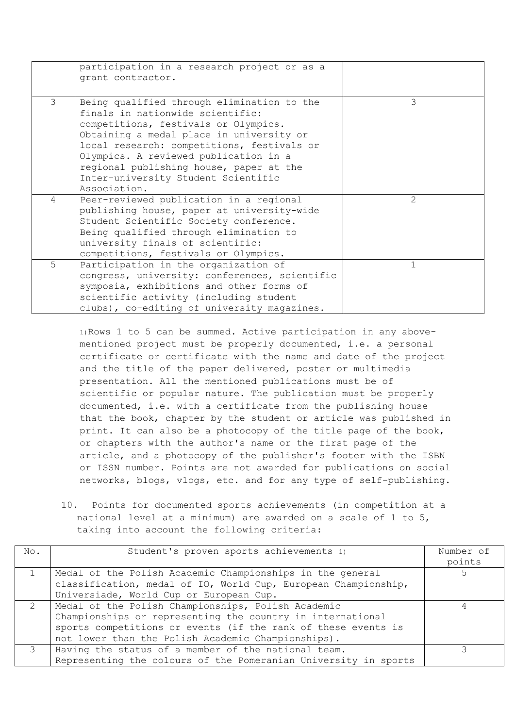|             | participation in a research project or as a<br>grant contractor.                                                                                                                                                                                                                                                                                            |               |
|-------------|-------------------------------------------------------------------------------------------------------------------------------------------------------------------------------------------------------------------------------------------------------------------------------------------------------------------------------------------------------------|---------------|
| 3           | Being qualified through elimination to the<br>finals in nationwide scientific:<br>competitions, festivals or Olympics.<br>Obtaining a medal place in university or<br>local research: competitions, festivals or<br>Olympics. A reviewed publication in a<br>regional publishing house, paper at the<br>Inter-university Student Scientific<br>Association. | 3             |
| 4           | Peer-reviewed publication in a regional<br>publishing house, paper at university-wide<br>Student Scientific Society conference.<br>Being qualified through elimination to<br>university finals of scientific:<br>competitions, festivals or Olympics.                                                                                                       | $\mathcal{L}$ |
| $5^{\circ}$ | Participation in the organization of<br>congress, university: conferences, scientific<br>symposia, exhibitions and other forms of<br>scientific activity (including student<br>clubs), co-editing of university magazines.                                                                                                                                  | $\mathbf{1}$  |

1)Rows 1 to 5 can be summed. Active participation in any abovementioned project must be properly documented, i.e. a personal certificate or certificate with the name and date of the project and the title of the paper delivered, poster or multimedia presentation. All the mentioned publications must be of scientific or popular nature. The publication must be properly documented, i.e. with a certificate from the publishing house that the book, chapter by the student or article was published in print. It can also be a photocopy of the title page of the book, or chapters with the author's name or the first page of the article, and a photocopy of the publisher's footer with the ISBN or ISSN number. Points are not awarded for publications on social networks, blogs, vlogs, etc. and for any type of self-publishing.

10. Points for documented sports achievements (in competition at a national level at a minimum) are awarded on a scale of 1 to 5, taking into account the following criteria:

| No.           | Student's proven sports achievements 1)                         | Number of |
|---------------|-----------------------------------------------------------------|-----------|
|               |                                                                 | points    |
|               | Medal of the Polish Academic Championships in the general       |           |
|               | classification, medal of IO, World Cup, European Championship,  |           |
|               | Universiade, World Cup or European Cup.                         |           |
| $\mathcal{L}$ | Medal of the Polish Championships, Polish Academic              |           |
|               | Championships or representing the country in international      |           |
|               | sports competitions or events (if the rank of these events is   |           |
|               | not lower than the Polish Academic Championships).              |           |
| $\mathcal{E}$ | Having the status of a member of the national team.             |           |
|               | Representing the colours of the Pomeranian University in sports |           |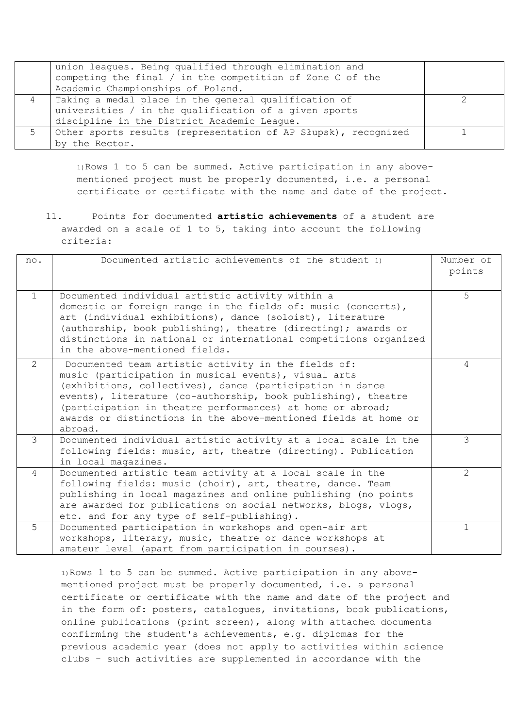|    | union leagues. Being qualified through elimination and<br>competing the final / in the competition of Zone C of the |  |
|----|---------------------------------------------------------------------------------------------------------------------|--|
|    | Academic Championships of Poland.                                                                                   |  |
|    | Taking a medal place in the general qualification of                                                                |  |
|    | universities / in the qualification of a given sports                                                               |  |
|    | discipline in the District Academic League.                                                                         |  |
| Б. | Other sports results (representation of AP Słupsk), recognized                                                      |  |
|    | by the Rector.                                                                                                      |  |

1)Rows 1 to 5 can be summed. Active participation in any abovementioned project must be properly documented, i.e. a personal certificate or certificate with the name and date of the project.

11. Points for documented **artistic achievements** of a student are awarded on a scale of 1 to 5, taking into account the following criteria:

| no.            | Documented artistic achievements of the student 1)                                                                                                                                                                                                                                                                                                                                    | Number of<br>points       |
|----------------|---------------------------------------------------------------------------------------------------------------------------------------------------------------------------------------------------------------------------------------------------------------------------------------------------------------------------------------------------------------------------------------|---------------------------|
| $\overline{1}$ | Documented individual artistic activity within a<br>domestic or foreign range in the fields of: music (concerts),<br>art (individual exhibitions), dance (soloist), literature<br>(authorship, book publishing), theatre (directing); awards or<br>distinctions in national or international competitions organized<br>in the above-mentioned fields.                                 | 5                         |
| 2              | Documented team artistic activity in the fields of:<br>music (participation in musical events), visual arts<br>(exhibitions, collectives), dance (participation in dance<br>events), literature (co-authorship, book publishing), theatre<br>(participation in theatre performances) at home or abroad;<br>awards or distinctions in the above-mentioned fields at home or<br>abroad. | 4                         |
| 3              | Documented individual artistic activity at a local scale in the<br>following fields: music, art, theatre (directing). Publication<br>in local magazines.                                                                                                                                                                                                                              | 3                         |
| 4              | Documented artistic team activity at a local scale in the<br>following fields: music (choir), art, theatre, dance. Team<br>publishing in local magazines and online publishing (no points<br>are awarded for publications on social networks, blogs, vlogs,<br>etc. and for any type of self-publishing).                                                                             | $\mathbf{2}^{\mathsf{I}}$ |
| 5              | Documented participation in workshops and open-air art<br>workshops, literary, music, theatre or dance workshops at<br>amateur level (apart from participation in courses).                                                                                                                                                                                                           | $\mathbf{1}$              |

1)Rows 1 to 5 can be summed. Active participation in any abovementioned project must be properly documented, i.e. a personal certificate or certificate with the name and date of the project and in the form of: posters, catalogues, invitations, book publications, online publications (print screen), along with attached documents confirming the student's achievements, e.g. diplomas for the previous academic year (does not apply to activities within science clubs - such activities are supplemented in accordance with the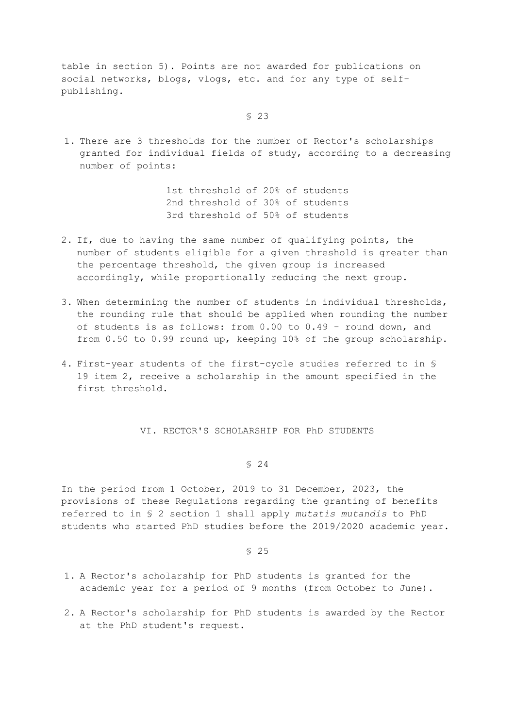table in section 5). Points are not awarded for publications on social networks, blogs, vlogs, etc. and for any type of selfpublishing.

§ 23

1. There are 3 thresholds for the number of Rector's scholarships granted for individual fields of study, according to a decreasing number of points:

> 1st threshold of 20% of students 2nd threshold of 30% of students 3rd threshold of 50% of students

- 2. If, due to having the same number of qualifying points, the number of students eligible for a given threshold is greater than the percentage threshold, the given group is increased accordingly, while proportionally reducing the next group.
- 3. When determining the number of students in individual thresholds, the rounding rule that should be applied when rounding the number of students is as follows: from 0.00 to 0.49 - round down, and from 0.50 to 0.99 round up, keeping 10% of the group scholarship.
- 4. First-year students of the first-cycle studies referred to in § 19 item 2, receive a scholarship in the amount specified in the first threshold.

VI. RECTOR'S SCHOLARSHIP FOR PhD STUDENTS

## § 24

In the period from 1 October, 2019 to 31 December, 2023, the provisions of these Regulations regarding the granting of benefits referred to in § 2 section 1 shall apply *mutatis mutandis* to PhD students who started PhD studies before the 2019/2020 academic year.

- 1. A Rector's scholarship for PhD students is granted for the academic year for a period of 9 months (from October to June).
- 2. A Rector's scholarship for PhD students is awarded by the Rector at the PhD student's request.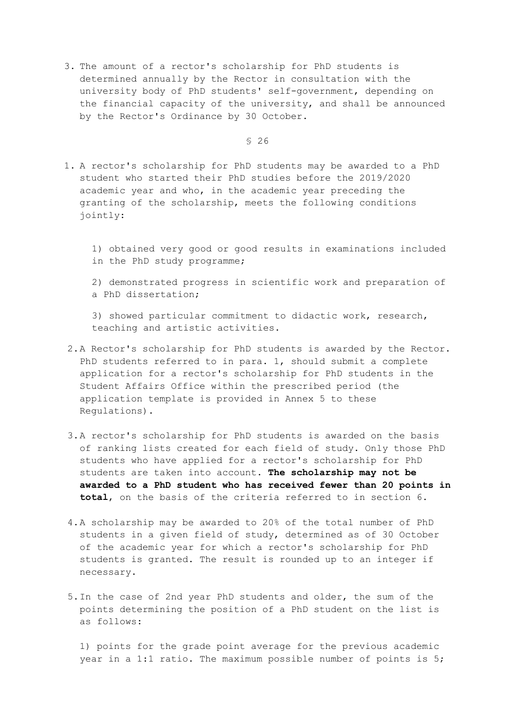3. The amount of a rector's scholarship for PhD students is determined annually by the Rector in consultation with the university body of PhD students' self-government, depending on the financial capacity of the university, and shall be announced by the Rector's Ordinance by 30 October.

§ 26

- 1. A rector's scholarship for PhD students may be awarded to a PhD student who started their PhD studies before the 2019/2020 academic year and who, in the academic year preceding the granting of the scholarship, meets the following conditions jointly:
	- 1) obtained very good or good results in examinations included in the PhD study programme;

2) demonstrated progress in scientific work and preparation of a PhD dissertation;

3) showed particular commitment to didactic work, research, teaching and artistic activities.

- 2.A Rector's scholarship for PhD students is awarded by the Rector. PhD students referred to in para. 1, should submit a complete application for a rector's scholarship for PhD students in the Student Affairs Office within the prescribed period (the application template is provided in Annex 5 to these Regulations).
- 3.A rector's scholarship for PhD students is awarded on the basis of ranking lists created for each field of study. Only those PhD students who have applied for a rector's scholarship for PhD students are taken into account. **The scholarship may not be awarded to a PhD student who has received fewer than 20 points in total**, on the basis of the criteria referred to in section 6.
- 4.A scholarship may be awarded to 20% of the total number of PhD students in a given field of study, determined as of 30 October of the academic year for which a rector's scholarship for PhD students is granted. The result is rounded up to an integer if necessary.
- 5.In the case of 2nd year PhD students and older, the sum of the points determining the position of a PhD student on the list is as follows:

1) points for the grade point average for the previous academic year in a 1:1 ratio. The maximum possible number of points is 5;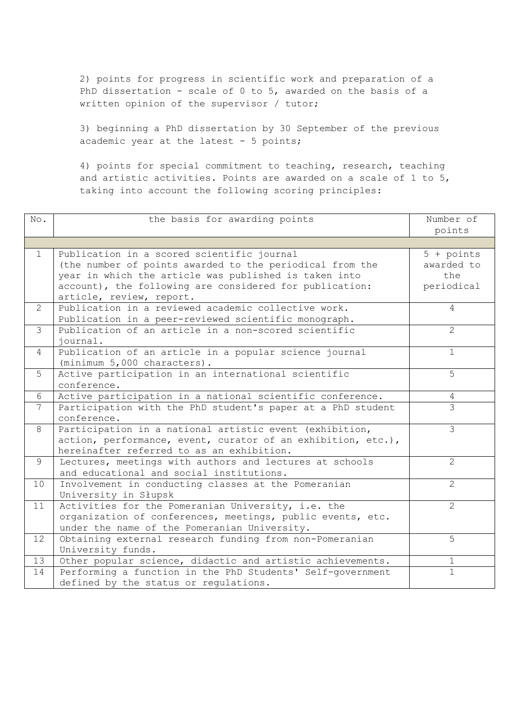2) points for progress in scientific work and preparation of a PhD dissertation - scale of 0 to 5, awarded on the basis of a written opinion of the supervisor / tutor;

3) beginning a PhD dissertation by 30 September of the previous academic year at the latest - 5 points;

4) points for special commitment to teaching, research, teaching and artistic activities. Points are awarded on a scale of 1 to 5, taking into account the following scoring principles:

| No.             | the basis for awarding points                                | Number of             |
|-----------------|--------------------------------------------------------------|-----------------------|
|                 |                                                              | points                |
|                 |                                                              |                       |
| $\mathbf{1}$    | Publication in a scored scientific journal                   | $5 + points$          |
|                 | (the number of points awarded to the periodical from the     | awarded to            |
|                 | year in which the article was published is taken into        | the                   |
|                 | account), the following are considered for publication:      | periodical            |
|                 | article, review, report.                                     |                       |
| $\overline{2}$  | Publication in a reviewed academic collective work.          | $\overline{4}$        |
|                 | Publication in a peer-reviewed scientific monograph.         |                       |
| 3               | Publication of an article in a non-scored scientific         | $\overline{2}$        |
|                 | iournal.                                                     |                       |
| 4               | Publication of an article in a popular science journal       | $\mathbf{1}$          |
|                 | (minimum 5,000 characters).                                  |                       |
| 5               | Active participation in an international scientific          | 5                     |
|                 | conference.                                                  |                       |
| 6               | Active participation in a national scientific conference.    | 4                     |
| $7\overline{ }$ | Participation with the PhD student's paper at a PhD student  | $\mathcal{E}$         |
|                 | conference.                                                  |                       |
| 8               | Participation in a national artistic event (exhibition,      | $\mathcal{S}$         |
|                 | action, performance, event, curator of an exhibition, etc.), |                       |
|                 | hereinafter referred to as an exhibition.                    |                       |
| 9               | Lectures, meetings with authors and lectures at schools      | $\overline{2}$        |
|                 | and educational and social institutions.                     |                       |
| 10              | Involvement in conducting classes at the Pomeranian          | $\overline{2}$        |
|                 | University in Słupsk                                         |                       |
| 11              | Activities for the Pomeranian University, i.e. the           | $\mathbf{2}^{\prime}$ |
|                 | organization of conferences, meetings, public events, etc.   |                       |
|                 | under the name of the Pomeranian University.                 |                       |
| 12 <sup>°</sup> | Obtaining external research funding from non-Pomeranian      | 5                     |
|                 | University funds.                                            |                       |
| 13              | Other popular science, didactic and artistic achievements.   | $\mathbf{1}$          |
| 14              | Performing a function in the PhD Students' Self-government   | $\mathbf{1}$          |
|                 | defined by the status or requlations.                        |                       |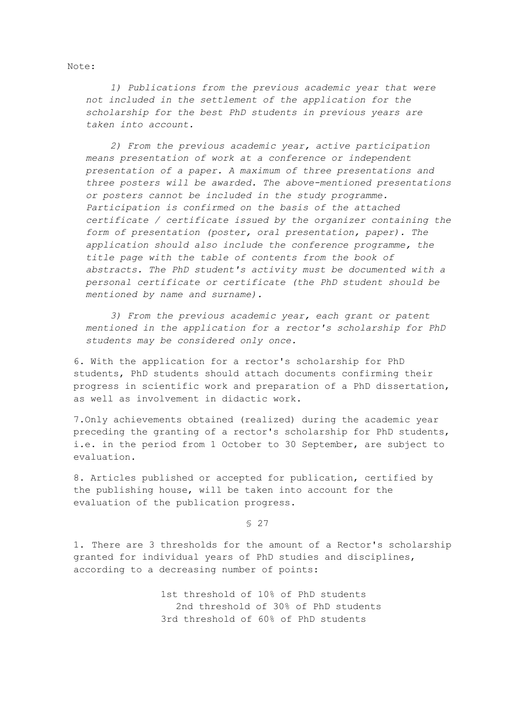Note:

*1) Publications from the previous academic year that were not included in the settlement of the application for the scholarship for the best PhD students in previous years are taken into account.*

*2) From the previous academic year, active participation means presentation of work at a conference or independent presentation of a paper. A maximum of three presentations and three posters will be awarded. The above-mentioned presentations or posters cannot be included in the study programme. Participation is confirmed on the basis of the attached certificate / certificate issued by the organizer containing the form of presentation (poster, oral presentation, paper). The application should also include the conference programme, the title page with the table of contents from the book of abstracts. The PhD student's activity must be documented with a personal certificate or certificate (the PhD student should be mentioned by name and surname).*

*3) From the previous academic year, each grant or patent mentioned in the application for a rector's scholarship for PhD students may be considered only once.*

6. With the application for a rector's scholarship for PhD students, PhD students should attach documents confirming their progress in scientific work and preparation of a PhD dissertation, as well as involvement in didactic work.

7.Only achievements obtained (realized) during the academic year preceding the granting of a rector's scholarship for PhD students, i.e. in the period from 1 October to 30 September, are subject to evaluation.

8. Articles published or accepted for publication, certified by the publishing house, will be taken into account for the evaluation of the publication progress.

§ 27

1. There are 3 thresholds for the amount of a Rector's scholarship granted for individual years of PhD studies and disciplines, according to a decreasing number of points:

> 1st threshold of 10% of PhD students 2nd threshold of 30% of PhD students 3rd threshold of 60% of PhD students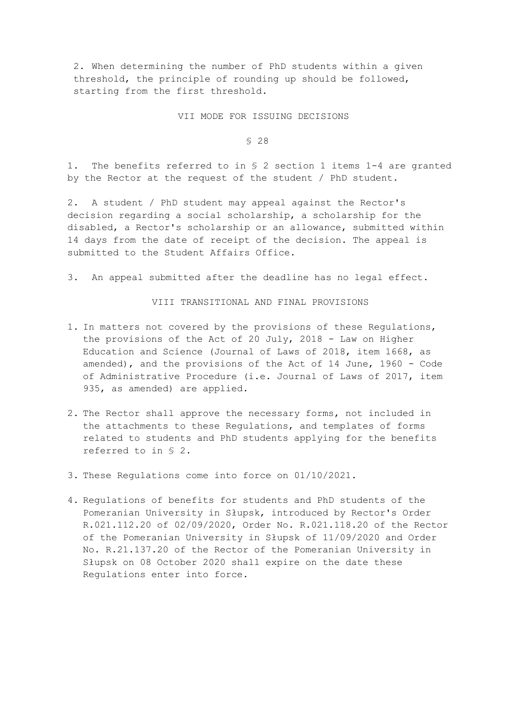2. When determining the number of PhD students within a given threshold, the principle of rounding up should be followed, starting from the first threshold.

#### VII MODE FOR ISSUING DECISIONS

§ 28

1. The benefits referred to in § 2 section 1 items 1-4 are granted by the Rector at the request of the student / PhD student.

2. A student / PhD student may appeal against the Rector's decision regarding a social scholarship, a scholarship for the disabled, a Rector's scholarship or an allowance, submitted within 14 days from the date of receipt of the decision. The appeal is submitted to the Student Affairs Office.

3. An appeal submitted after the deadline has no legal effect.

VIII TRANSITIONAL AND FINAL PROVISIONS

- 1. In matters not covered by the provisions of these Regulations, the provisions of the Act of 20 July, 2018 - Law on Higher Education and Science (Journal of Laws of 2018, item 1668, as amended), and the provisions of the Act of 14 June, 1960 - Code of Administrative Procedure (i.e. Journal of Laws of 2017, item 935, as amended) are applied.
- 2. The Rector shall approve the necessary forms, not included in the attachments to these Regulations, and templates of forms related to students and PhD students applying for the benefits referred to in § 2.
- 3. These Regulations come into force on 01/10/2021.
- 4. Regulations of benefits for students and PhD students of the Pomeranian University in Słupsk, introduced by Rector's Order R.021.112.20 of 02/09/2020, Order No. R.021.118.20 of the Rector of the Pomeranian University in Słupsk of 11/09/2020 and Order No. R.21.137.20 of the Rector of the Pomeranian University in Słupsk on 08 October 2020 shall expire on the date these Regulations enter into force.